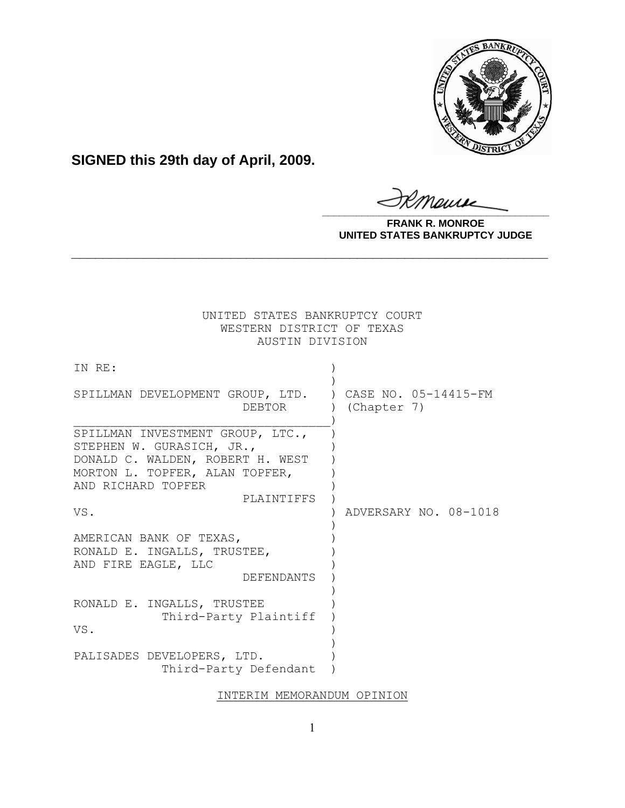

**SIGNED this 29th day of April, 2009.**

Monse **\_\_\_\_\_\_\_\_\_\_\_\_\_\_\_\_\_\_\_\_\_\_\_\_\_\_\_\_\_\_\_\_\_\_\_\_\_\_\_\_**

**FRANK R. MONROE UNITED STATES BANKRUPTCY JUDGE**

| UNITED STATES BANKRUPTCY COURT<br>WESTERN DISTRICT OF TEXAS<br>AUSTIN DIVISION                    |                       |
|---------------------------------------------------------------------------------------------------|-----------------------|
| IN RE:                                                                                            |                       |
| SPILLMAN DEVELOPMENT GROUP, LTD. ) CASE NO. 05-14415-FM<br>DEBTOR                                 | (Chapter 7)           |
| SPILLMAN INVESTMENT GROUP, LTC.,<br>STEPHEN W. GURASICH, JR.,<br>DONALD C. WALDEN, ROBERT H. WEST |                       |
| MORTON L. TOPFER, ALAN TOPFER,<br>AND RICHARD TOPFER<br>PLAINTIFFS                                |                       |
| VS.                                                                                               | ADVERSARY NO. 08-1018 |
| AMERICAN BANK OF TEXAS,<br>RONALD E. INGALLS, TRUSTEE,<br>AND FIRE EAGLE, LLC<br>DEFENDANTS       |                       |
| RONALD E. INGALLS, TRUSTEE<br>Third-Party Plaintiff<br>VS.                                        |                       |
| PALISADES DEVELOPERS, LTD.<br>Third-Party Defendant                                               |                       |

**\_\_\_\_\_\_\_\_\_\_\_\_\_\_\_\_\_\_\_\_\_\_\_\_\_\_\_\_\_\_\_\_\_\_\_\_\_\_\_\_\_\_\_\_\_\_\_\_\_\_\_\_\_\_\_\_\_\_\_\_**

## INTERIM MEMORANDUM OPINION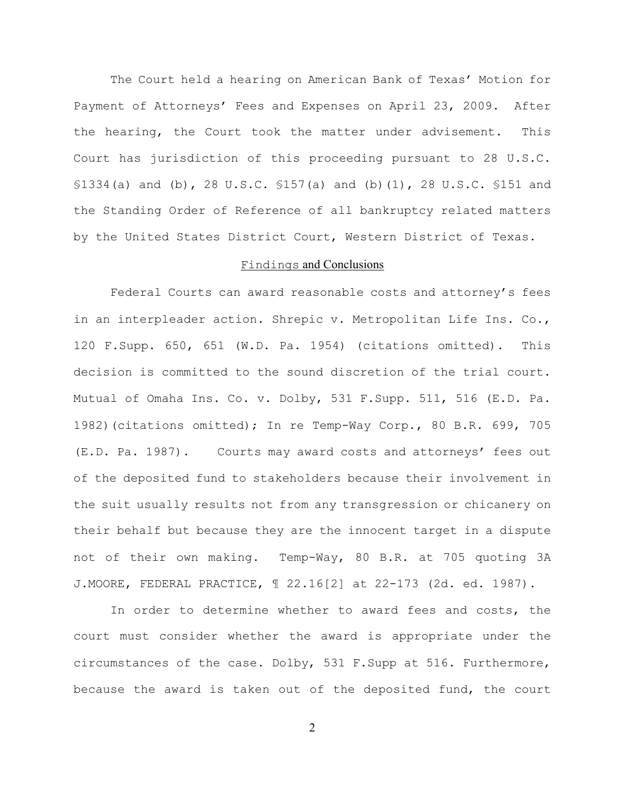The Court held a hearing on American Bank of Texas' Motion for Payment of Attorneys' Fees and Expenses on April 23, 2009. After the hearing, the Court took the matter under advisement. This Court has jurisdiction of this proceeding pursuant to 28 U.S.C. §1334(a) and (b), 28 U.S.C. §157(a) and (b)(1), 28 U.S.C. §151 and the Standing Order of Reference of all bankruptcy related matters by the United States District Court, Western District of Texas.

## Findings and Conclusions

Federal Courts can award reasonable costs and attorney's fees in an interpleader action. Shrepic v. Metropolitan Life Ins. Co., 120 F.Supp. 650, 651 (W.D. Pa. 1954) (citations omitted). This decision is committed to the sound discretion of the trial court. Mutual of Omaha Ins. Co. v. Dolby, 531 F.Supp. 511, 516 (E.D. Pa. 1982)(citations omitted); In re Temp-Way Corp., 80 B.R. 699, 705 (E.D. Pa. 1987). Courts may award costs and attorneys' fees out of the deposited fund to stakeholders because their involvement in the suit usually results not from any transgression or chicanery on their behalf but because they are the innocent target in a dispute not of their own making. Temp-Way, 80 B.R. at 705 quoting 3A J.MOORE, FEDERAL PRACTICE, ¶ 22.16[2] at 22-173 (2d. ed. 1987).

In order to determine whether to award fees and costs, the court must consider whether the award is appropriate under the circumstances of the case. Dolby, 531 F.Supp at 516. Furthermore, because the award is taken out of the deposited fund, the court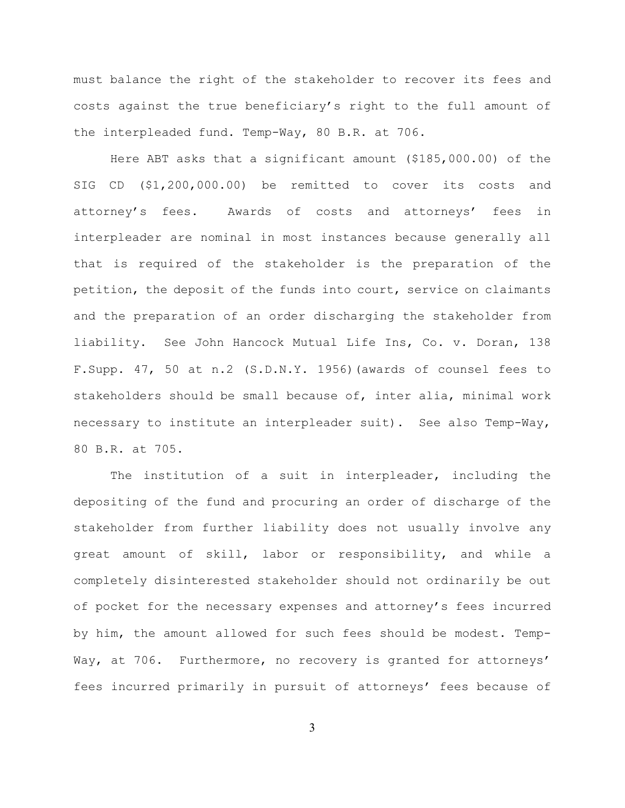must balance the right of the stakeholder to recover its fees and costs against the true beneficiary's right to the full amount of the interpleaded fund. Temp-Way, 80 B.R. at 706.

Here ABT asks that a significant amount (\$185,000.00) of the SIG CD (\$1,200,000.00) be remitted to cover its costs and attorney's fees. Awards of costs and attorneys' fees in interpleader are nominal in most instances because generally all that is required of the stakeholder is the preparation of the petition, the deposit of the funds into court, service on claimants and the preparation of an order discharging the stakeholder from liability. See John Hancock Mutual Life Ins, Co. v. Doran, 138 F.Supp. 47, 50 at n.2 (S.D.N.Y. 1956)(awards of counsel fees to stakeholders should be small because of, inter alia, minimal work necessary to institute an interpleader suit). See also Temp-Way, 80 B.R. at 705.

The institution of a suit in interpleader, including the depositing of the fund and procuring an order of discharge of the stakeholder from further liability does not usually involve any great amount of skill, labor or responsibility, and while a completely disinterested stakeholder should not ordinarily be out of pocket for the necessary expenses and attorney's fees incurred by him, the amount allowed for such fees should be modest. Temp-Way, at 706. Furthermore, no recovery is granted for attorneys' fees incurred primarily in pursuit of attorneys' fees because of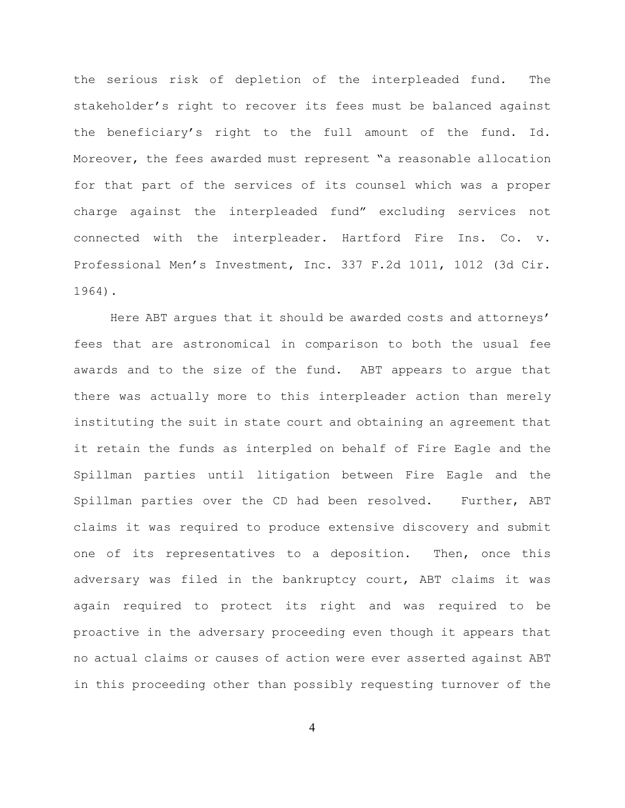the serious risk of depletion of the interpleaded fund. The stakeholder's right to recover its fees must be balanced against the beneficiary's right to the full amount of the fund. Id. Moreover, the fees awarded must represent "a reasonable allocation for that part of the services of its counsel which was a proper charge against the interpleaded fund" excluding services not connected with the interpleader. Hartford Fire Ins. Co. v. Professional Men's Investment, Inc. 337 F.2d 1011, 1012 (3d Cir. 1964).

Here ABT argues that it should be awarded costs and attorneys' fees that are astronomical in comparison to both the usual fee awards and to the size of the fund. ABT appears to argue that there was actually more to this interpleader action than merely instituting the suit in state court and obtaining an agreement that it retain the funds as interpled on behalf of Fire Eagle and the Spillman parties until litigation between Fire Eagle and the Spillman parties over the CD had been resolved. Further, ABT claims it was required to produce extensive discovery and submit one of its representatives to a deposition. Then, once this adversary was filed in the bankruptcy court, ABT claims it was again required to protect its right and was required to be proactive in the adversary proceeding even though it appears that no actual claims or causes of action were ever asserted against ABT in this proceeding other than possibly requesting turnover of the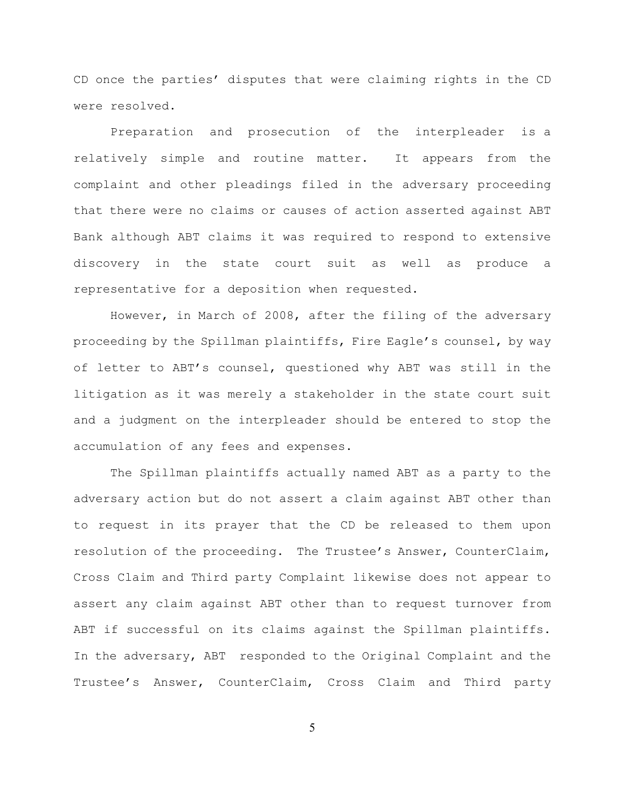CD once the parties' disputes that were claiming rights in the CD were resolved.

Preparation and prosecution of the interpleader is a relatively simple and routine matter. It appears from the complaint and other pleadings filed in the adversary proceeding that there were no claims or causes of action asserted against ABT Bank although ABT claims it was required to respond to extensive discovery in the state court suit as well as produce a representative for a deposition when requested.

However, in March of 2008, after the filing of the adversary proceeding by the Spillman plaintiffs, Fire Eagle's counsel, by way of letter to ABT's counsel, questioned why ABT was still in the litigation as it was merely a stakeholder in the state court suit and a judgment on the interpleader should be entered to stop the accumulation of any fees and expenses.

The Spillman plaintiffs actually named ABT as a party to the adversary action but do not assert a claim against ABT other than to request in its prayer that the CD be released to them upon resolution of the proceeding. The Trustee's Answer, CounterClaim, Cross Claim and Third party Complaint likewise does not appear to assert any claim against ABT other than to request turnover from ABT if successful on its claims against the Spillman plaintiffs. In the adversary, ABT responded to the Original Complaint and the Trustee's Answer, CounterClaim, Cross Claim and Third party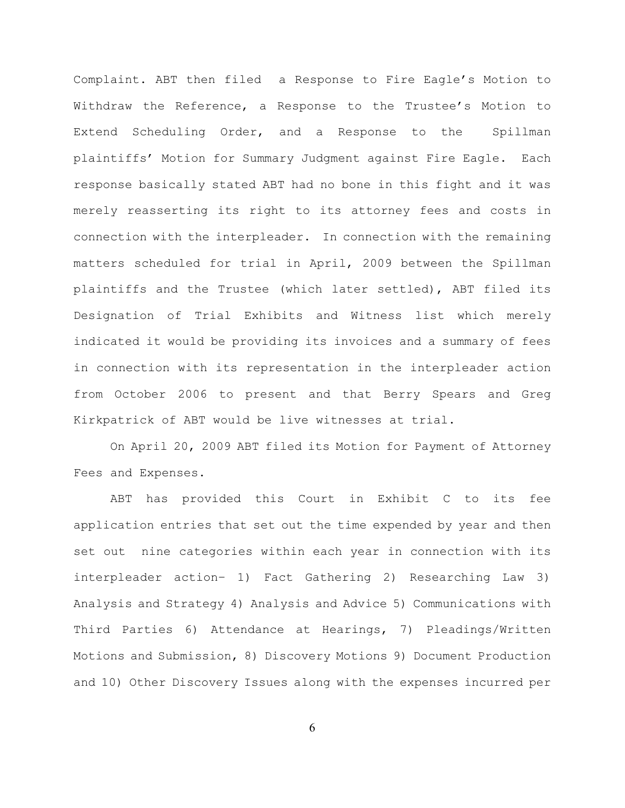Complaint. ABT then filed a Response to Fire Eagle's Motion to Withdraw the Reference, a Response to the Trustee's Motion to Extend Scheduling Order, and a Response to the Spillman plaintiffs' Motion for Summary Judgment against Fire Eagle. Each response basically stated ABT had no bone in this fight and it was merely reasserting its right to its attorney fees and costs in connection with the interpleader. In connection with the remaining matters scheduled for trial in April, 2009 between the Spillman plaintiffs and the Trustee (which later settled), ABT filed its Designation of Trial Exhibits and Witness list which merely indicated it would be providing its invoices and a summary of fees in connection with its representation in the interpleader action from October 2006 to present and that Berry Spears and Greg Kirkpatrick of ABT would be live witnesses at trial.

On April 20, 2009 ABT filed its Motion for Payment of Attorney Fees and Expenses.

ABT has provided this Court in Exhibit C to its fee application entries that set out the time expended by year and then set out nine categories within each year in connection with its interpleader action– 1) Fact Gathering 2) Researching Law 3) Analysis and Strategy 4) Analysis and Advice 5) Communications with Third Parties 6) Attendance at Hearings, 7) Pleadings/Written Motions and Submission, 8) Discovery Motions 9) Document Production and 10) Other Discovery Issues along with the expenses incurred per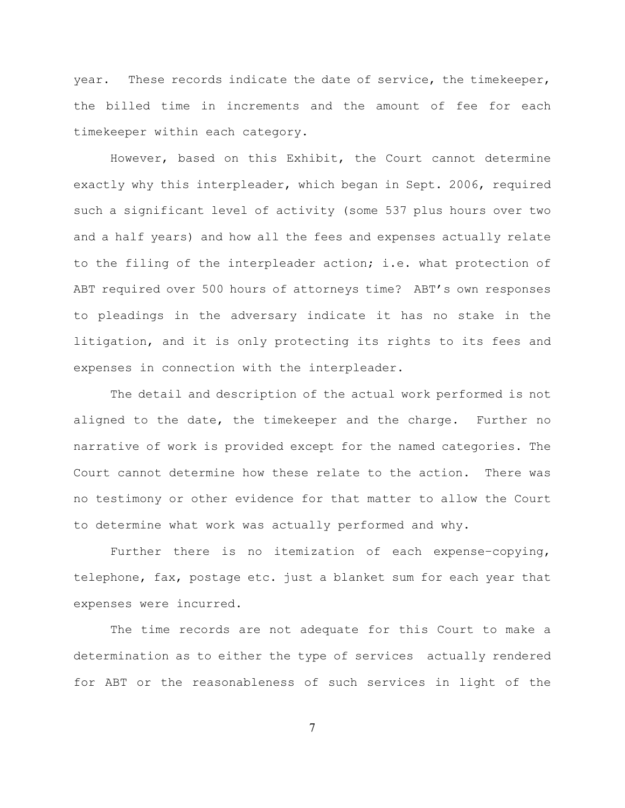year. These records indicate the date of service, the timekeeper, the billed time in increments and the amount of fee for each timekeeper within each category.

However, based on this Exhibit, the Court cannot determine exactly why this interpleader, which began in Sept. 2006, required such a significant level of activity (some 537 plus hours over two and a half years) and how all the fees and expenses actually relate to the filing of the interpleader action; i.e. what protection of ABT required over 500 hours of attorneys time? ABT's own responses to pleadings in the adversary indicate it has no stake in the litigation, and it is only protecting its rights to its fees and expenses in connection with the interpleader.

The detail and description of the actual work performed is not aligned to the date, the timekeeper and the charge. Further no narrative of work is provided except for the named categories. The Court cannot determine how these relate to the action. There was no testimony or other evidence for that matter to allow the Court to determine what work was actually performed and why.

Further there is no itemization of each expense–copying, telephone, fax, postage etc. just a blanket sum for each year that expenses were incurred.

The time records are not adequate for this Court to make a determination as to either the type of services actually rendered for ABT or the reasonableness of such services in light of the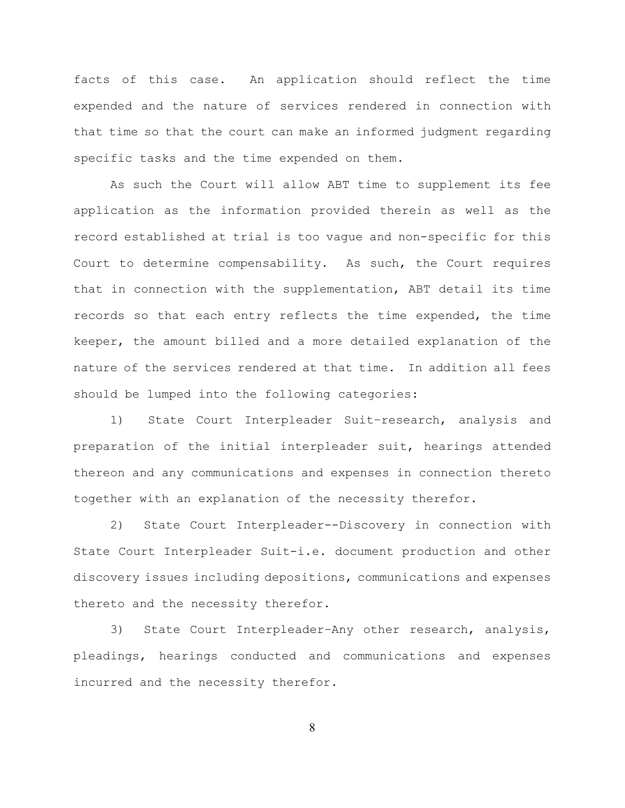facts of this case. An application should reflect the time expended and the nature of services rendered in connection with that time so that the court can make an informed judgment regarding specific tasks and the time expended on them.

As such the Court will allow ABT time to supplement its fee application as the information provided therein as well as the record established at trial is too vague and non-specific for this Court to determine compensability. As such, the Court requires that in connection with the supplementation, ABT detail its time records so that each entry reflects the time expended, the time keeper, the amount billed and a more detailed explanation of the nature of the services rendered at that time. In addition all fees should be lumped into the following categories:

1) State Court Interpleader Suit–research, analysis and preparation of the initial interpleader suit, hearings attended thereon and any communications and expenses in connection thereto together with an explanation of the necessity therefor.

2) State Court Interpleader--Discovery in connection with State Court Interpleader Suit-i.e. document production and other discovery issues including depositions, communications and expenses thereto and the necessity therefor.

3) State Court Interpleader–Any other research, analysis, pleadings, hearings conducted and communications and expenses incurred and the necessity therefor.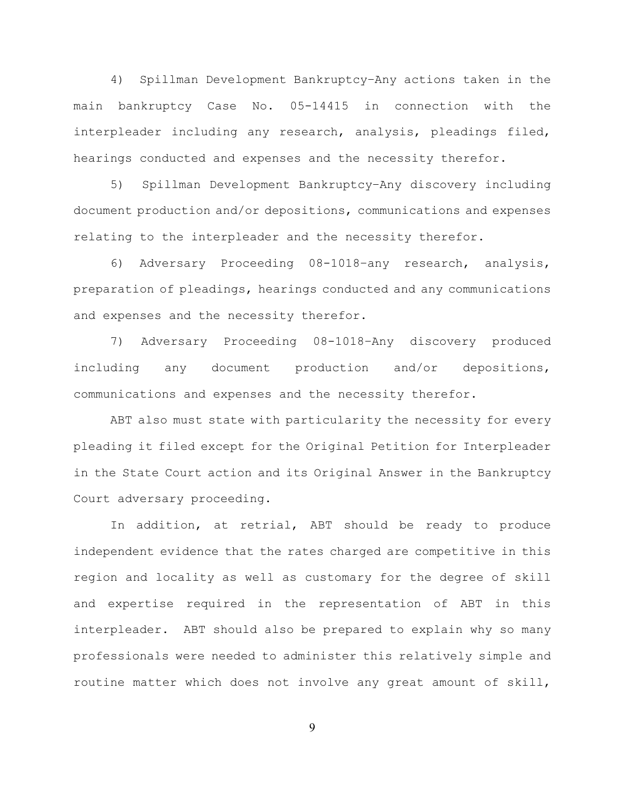4) Spillman Development Bankruptcy–Any actions taken in the main bankruptcy Case No. 05-14415 in connection with the interpleader including any research, analysis, pleadings filed, hearings conducted and expenses and the necessity therefor.

5) Spillman Development Bankruptcy–Any discovery including document production and/or depositions, communications and expenses relating to the interpleader and the necessity therefor.

6) Adversary Proceeding 08-1018–any research, analysis, preparation of pleadings, hearings conducted and any communications and expenses and the necessity therefor.

7) Adversary Proceeding 08-1018–Any discovery produced including any document production and/or depositions, communications and expenses and the necessity therefor.

ABT also must state with particularity the necessity for every pleading it filed except for the Original Petition for Interpleader in the State Court action and its Original Answer in the Bankruptcy Court adversary proceeding.

In addition, at retrial, ABT should be ready to produce independent evidence that the rates charged are competitive in this region and locality as well as customary for the degree of skill and expertise required in the representation of ABT in this interpleader. ABT should also be prepared to explain why so many professionals were needed to administer this relatively simple and routine matter which does not involve any great amount of skill,